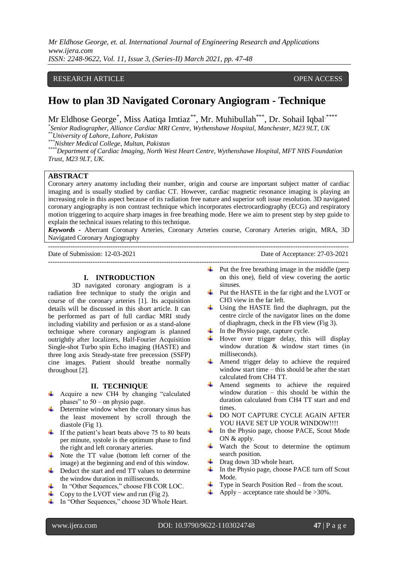*Mr Eldhose George, et. al. International Journal of Engineering Research and Applications www.ijera.com ISSN: 2248-9622, Vol. 11, Issue 3, (Series-II) March 2021, pp. 47-48*

### RESEARCH ARTICLE **CONTRACT ARTICLE** AND LOTE OPEN ACCESS OPEN ACCESS

# **How to plan 3D Navigated Coronary Angiogram - Technique**

Mr Eldhose George<sup>\*</sup>, Miss Aatiqa Imtiaz<sup>\*\*</sup>, Mr. Muhibullah<sup>\*\*\*</sup>, Dr. Sohail Iqbal<sup>\*\*\*\*</sup>

*\* Senior Radiographer, Alliance Cardiac MRI Centre, Wythenshawe Hospital, Manchester, M23 9LT, UK \*\*University of Lahore, Lahore, Pakistan*

*\*\*\*Nishter Medical College, Multan, Pakistan*

*\*\*\*\*Department of Cardiac Imaging, North West Heart Centre, Wythenshawe Hospital, MFT NHS Foundation Trust, M23 9LT, UK.* 

## **ABSTRACT**

Coronary artery anatomy including their number, origin and course are important subject matter of cardiac imaging and is usually studied by cardiac CT. However, cardiac magnetic resonance imaging is playing an increasing role in this aspect because of its radiation free nature and superior soft issue resolution. 3D navigated coronary angiography is non contrast technique which incorporates electrocardiography (ECG) and respiratory motion triggering to acquire sharp images in free breathing mode. Here we aim to present step by step guide to explain the technical issues relating to this technique.

*Keywords -* Aberrant Coronary Arteries, Coronary Arteries course, Coronary Arteries origin, MRA, 3D Navigated Coronary Angiography

---------------------------------------------------------------------------------------------------------------------------------------

---------------------------------------------------------------------------------------------------------------------------------------

Date of Submission: 12-03-2021 Date of Acceptance: 27-03-2021

**I. INTRODUCTION**

3D navigated coronary angiogram is a radiation free technique to study the origin and course of the coronary arteries [1]. Its acquisition details will be discussed in this short article. It can be performed as part of full cardiac MRI study including viability and perfusion or as a stand-alone technique where coronary angiogram is planned outrightly after localizers, Half-Fourier Acquisition Single-shot Turbo spin Echo imaging (HASTE) and three long axis Steady-state free precession (SSFP) cine images. Patient should breathe normally throughout [2].

#### **II. TECHNIQUE**

- Acquire a new CH4 by changing "calculated" phases" to 50 – on physio page.
- $\frac{1}{2}$  Determine window when the coronary sinus has the least movement by scroll through the diastole (Fig 1).
- $\ddot{\text{I}}$  If the patient's heart beats above 75 to 80 beats per minute, systole is the optimum phase to find the right and left coronary arteries.
- ↓ Note the TT value (bottom left corner of the image) at the beginning and end of this window.
- **↓** Deduct the start and end TT values to determine the window duration in milliseconds.
- In "Other Sequences," choose FB COR LOC.
- $\overline{\phantom{a}}$  Copy to the LVOT view and run (Fig 2).
- In "Other Sequences," choose 3D Whole Heart.
- $\downarrow$  Put the free breathing image in the middle (perp on this one), field of view covering the aortic sinuses.
- ₩., Put the HASTE in the far right and the LVOT or CH3 view in the far left.
- $\frac{1}{\sqrt{2}}$  Using the HASTE find the diaphragm, put the centre circle of the navigator lines on the dome of diaphragm, check in the FB view (Fig 3).
- $\overline{\phantom{a}}$  In the Physio page, capture cycle.
- $\overline{\phantom{a}}$  Hover over trigger delay, this will display window duration & window start times (in milliseconds).
- Amend trigger delay to achieve the required window start time – this should be after the start calculated from CH4 TT.
- Amend segments to achieve the required window duration – this should be within the duration calculated from CH4 TT start and end times.
- **+ DO NOT CAPTURE CYCLE AGAIN AFTER** YOU HAVE SET UP YOUR WINDOW!!!!
- In the Physio page, choose PACE, Scout Mode ON  $&$  apply.
- Watch the Scout to determine the optimum search position.
- Drag down 3D whole heart.
- In the Physio page, choose PACE turn off Scout Mode.
- Type in Search Position Red from the scout.
- Apply acceptance rate should be >30%.